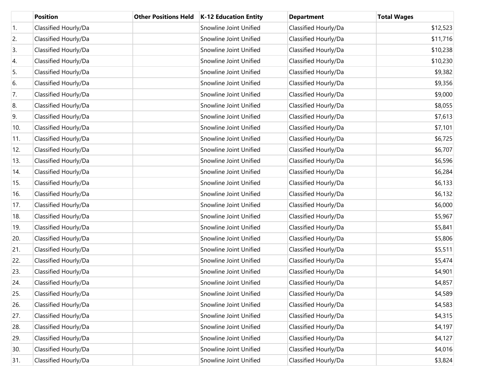|     | <b>Position</b>      | <b>Other Positions Held</b> | K-12 Education Entity  | <b>Department</b>    | <b>Total Wages</b> |
|-----|----------------------|-----------------------------|------------------------|----------------------|--------------------|
| 1.  | Classified Hourly/Da |                             | Snowline Joint Unified | Classified Hourly/Da | \$12,523           |
| 2.  | Classified Hourly/Da |                             | Snowline Joint Unified | Classified Hourly/Da | \$11,716           |
| 3.  | Classified Hourly/Da |                             | Snowline Joint Unified | Classified Hourly/Da | \$10,238           |
| 4.  | Classified Hourly/Da |                             | Snowline Joint Unified | Classified Hourly/Da | \$10,230           |
| 5.  | Classified Hourly/Da |                             | Snowline Joint Unified | Classified Hourly/Da | \$9,382            |
| 6.  | Classified Hourly/Da |                             | Snowline Joint Unified | Classified Hourly/Da | \$9,356            |
| 7.  | Classified Hourly/Da |                             | Snowline Joint Unified | Classified Hourly/Da | \$9,000            |
| 8.  | Classified Hourly/Da |                             | Snowline Joint Unified | Classified Hourly/Da | \$8,055            |
| 9.  | Classified Hourly/Da |                             | Snowline Joint Unified | Classified Hourly/Da | \$7,613            |
| 10. | Classified Hourly/Da |                             | Snowline Joint Unified | Classified Hourly/Da | \$7,101            |
| 11. | Classified Hourly/Da |                             | Snowline Joint Unified | Classified Hourly/Da | \$6,725            |
| 12. | Classified Hourly/Da |                             | Snowline Joint Unified | Classified Hourly/Da | \$6,707            |
| 13. | Classified Hourly/Da |                             | Snowline Joint Unified | Classified Hourly/Da | \$6,596            |
| 14. | Classified Hourly/Da |                             | Snowline Joint Unified | Classified Hourly/Da | \$6,284            |
| 15. | Classified Hourly/Da |                             | Snowline Joint Unified | Classified Hourly/Da | \$6,133            |
| 16. | Classified Hourly/Da |                             | Snowline Joint Unified | Classified Hourly/Da | \$6,132            |
| 17. | Classified Hourly/Da |                             | Snowline Joint Unified | Classified Hourly/Da | \$6,000            |
| 18. | Classified Hourly/Da |                             | Snowline Joint Unified | Classified Hourly/Da | \$5,967            |
| 19. | Classified Hourly/Da |                             | Snowline Joint Unified | Classified Hourly/Da | \$5,841            |
| 20. | Classified Hourly/Da |                             | Snowline Joint Unified | Classified Hourly/Da | \$5,806            |
| 21. | Classified Hourly/Da |                             | Snowline Joint Unified | Classified Hourly/Da | \$5,511            |
| 22. | Classified Hourly/Da |                             | Snowline Joint Unified | Classified Hourly/Da | \$5,474            |
| 23. | Classified Hourly/Da |                             | Snowline Joint Unified | Classified Hourly/Da | \$4,901            |
| 24. | Classified Hourly/Da |                             | Snowline Joint Unified | Classified Hourly/Da | \$4,857            |
| 25. | Classified Hourly/Da |                             | Snowline Joint Unified | Classified Hourly/Da | \$4,589            |
| 26. | Classified Hourly/Da |                             | Snowline Joint Unified | Classified Hourly/Da | \$4,583            |
| 27. | Classified Hourly/Da |                             | Snowline Joint Unified | Classified Hourly/Da | \$4,315            |
| 28. | Classified Hourly/Da |                             | Snowline Joint Unified | Classified Hourly/Da | \$4,197            |
| 29. | Classified Hourly/Da |                             | Snowline Joint Unified | Classified Hourly/Da | \$4,127            |
| 30. | Classified Hourly/Da |                             | Snowline Joint Unified | Classified Hourly/Da | \$4,016            |
| 31. | Classified Hourly/Da |                             | Snowline Joint Unified | Classified Hourly/Da | \$3,824            |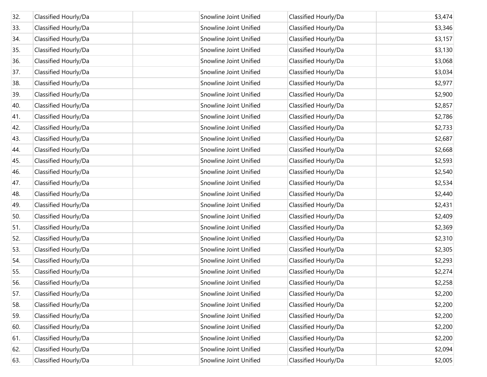| 32. | Classified Hourly/Da | Snowline Joint Unified | Classified Hourly/Da | \$3,474 |
|-----|----------------------|------------------------|----------------------|---------|
| 33. | Classified Hourly/Da | Snowline Joint Unified | Classified Hourly/Da | \$3,346 |
| 34. | Classified Hourly/Da | Snowline Joint Unified | Classified Hourly/Da | \$3,157 |
| 35. | Classified Hourly/Da | Snowline Joint Unified | Classified Hourly/Da | \$3,130 |
| 36. | Classified Hourly/Da | Snowline Joint Unified | Classified Hourly/Da | \$3,068 |
| 37. | Classified Hourly/Da | Snowline Joint Unified | Classified Hourly/Da | \$3,034 |
| 38. | Classified Hourly/Da | Snowline Joint Unified | Classified Hourly/Da | \$2,977 |
| 39. | Classified Hourly/Da | Snowline Joint Unified | Classified Hourly/Da | \$2,900 |
| 40. | Classified Hourly/Da | Snowline Joint Unified | Classified Hourly/Da | \$2,857 |
| 41. | Classified Hourly/Da | Snowline Joint Unified | Classified Hourly/Da | \$2,786 |
| 42. | Classified Hourly/Da | Snowline Joint Unified | Classified Hourly/Da | \$2,733 |
| 43. | Classified Hourly/Da | Snowline Joint Unified | Classified Hourly/Da | \$2,687 |
| 44. | Classified Hourly/Da | Snowline Joint Unified | Classified Hourly/Da | \$2,668 |
| 45. | Classified Hourly/Da | Snowline Joint Unified | Classified Hourly/Da | \$2,593 |
| 46. | Classified Hourly/Da | Snowline Joint Unified | Classified Hourly/Da | \$2,540 |
| 47. | Classified Hourly/Da | Snowline Joint Unified | Classified Hourly/Da | \$2,534 |
| 48. | Classified Hourly/Da | Snowline Joint Unified | Classified Hourly/Da | \$2,440 |
| 49. | Classified Hourly/Da | Snowline Joint Unified | Classified Hourly/Da | \$2,431 |
| 50. | Classified Hourly/Da | Snowline Joint Unified | Classified Hourly/Da | \$2,409 |
| 51. | Classified Hourly/Da | Snowline Joint Unified | Classified Hourly/Da | \$2,369 |
| 52. | Classified Hourly/Da | Snowline Joint Unified | Classified Hourly/Da | \$2,310 |
| 53. | Classified Hourly/Da | Snowline Joint Unified | Classified Hourly/Da | \$2,305 |
| 54. | Classified Hourly/Da | Snowline Joint Unified | Classified Hourly/Da | \$2,293 |
| 55. | Classified Hourly/Da | Snowline Joint Unified | Classified Hourly/Da | \$2,274 |
| 56. | Classified Hourly/Da | Snowline Joint Unified | Classified Hourly/Da | \$2,258 |
| 57. | Classified Hourly/Da | Snowline Joint Unified | Classified Hourly/Da | \$2,200 |
| 58. | Classified Hourly/Da | Snowline Joint Unified | Classified Hourly/Da | \$2,200 |
| 59. | Classified Hourly/Da | Snowline Joint Unified | Classified Hourly/Da | \$2,200 |
| 60. | Classified Hourly/Da | Snowline Joint Unified | Classified Hourly/Da | \$2,200 |
| 61. | Classified Hourly/Da | Snowline Joint Unified | Classified Hourly/Da | \$2,200 |
| 62. | Classified Hourly/Da | Snowline Joint Unified | Classified Hourly/Da | \$2,094 |
| 63. | Classified Hourly/Da | Snowline Joint Unified | Classified Hourly/Da | \$2,005 |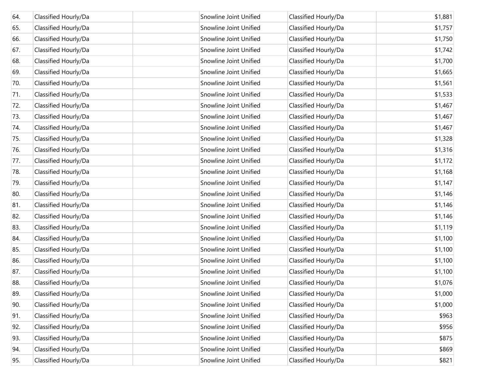| 64. | Classified Hourly/Da | Snowline Joint Unified | Classified Hourly/Da | \$1,881 |
|-----|----------------------|------------------------|----------------------|---------|
| 65. | Classified Hourly/Da | Snowline Joint Unified | Classified Hourly/Da | \$1,757 |
| 66. | Classified Hourly/Da | Snowline Joint Unified | Classified Hourly/Da | \$1,750 |
| 67. | Classified Hourly/Da | Snowline Joint Unified | Classified Hourly/Da | \$1,742 |
| 68. | Classified Hourly/Da | Snowline Joint Unified | Classified Hourly/Da | \$1,700 |
| 69. | Classified Hourly/Da | Snowline Joint Unified | Classified Hourly/Da | \$1,665 |
| 70. | Classified Hourly/Da | Snowline Joint Unified | Classified Hourly/Da | \$1,561 |
| 71. | Classified Hourly/Da | Snowline Joint Unified | Classified Hourly/Da | \$1,533 |
| 72. | Classified Hourly/Da | Snowline Joint Unified | Classified Hourly/Da | \$1,467 |
| 73. | Classified Hourly/Da | Snowline Joint Unified | Classified Hourly/Da | \$1,467 |
| 74. | Classified Hourly/Da | Snowline Joint Unified | Classified Hourly/Da | \$1,467 |
| 75. | Classified Hourly/Da | Snowline Joint Unified | Classified Hourly/Da | \$1,328 |
| 76. | Classified Hourly/Da | Snowline Joint Unified | Classified Hourly/Da | \$1,316 |
| 77. | Classified Hourly/Da | Snowline Joint Unified | Classified Hourly/Da | \$1,172 |
| 78. | Classified Hourly/Da | Snowline Joint Unified | Classified Hourly/Da | \$1,168 |
| 79. | Classified Hourly/Da | Snowline Joint Unified | Classified Hourly/Da | \$1,147 |
| 80. | Classified Hourly/Da | Snowline Joint Unified | Classified Hourly/Da | \$1,146 |
| 81. | Classified Hourly/Da | Snowline Joint Unified | Classified Hourly/Da | \$1,146 |
| 82. | Classified Hourly/Da | Snowline Joint Unified | Classified Hourly/Da | \$1,146 |
| 83. | Classified Hourly/Da | Snowline Joint Unified | Classified Hourly/Da | \$1,119 |
| 84. | Classified Hourly/Da | Snowline Joint Unified | Classified Hourly/Da | \$1,100 |
| 85. | Classified Hourly/Da | Snowline Joint Unified | Classified Hourly/Da | \$1,100 |
| 86. | Classified Hourly/Da | Snowline Joint Unified | Classified Hourly/Da | \$1,100 |
| 87. | Classified Hourly/Da | Snowline Joint Unified | Classified Hourly/Da | \$1,100 |
| 88. | Classified Hourly/Da | Snowline Joint Unified | Classified Hourly/Da | \$1,076 |
| 89. | Classified Hourly/Da | Snowline Joint Unified | Classified Hourly/Da | \$1,000 |
| 90. | Classified Hourly/Da | Snowline Joint Unified | Classified Hourly/Da | \$1,000 |
| 91. | Classified Hourly/Da | Snowline Joint Unified | Classified Hourly/Da | \$963   |
| 92. | Classified Hourly/Da | Snowline Joint Unified | Classified Hourly/Da | \$956   |
| 93. | Classified Hourly/Da | Snowline Joint Unified | Classified Hourly/Da | \$875   |
| 94. | Classified Hourly/Da | Snowline Joint Unified | Classified Hourly/Da | \$869   |
| 95. | Classified Hourly/Da | Snowline Joint Unified | Classified Hourly/Da | \$821   |